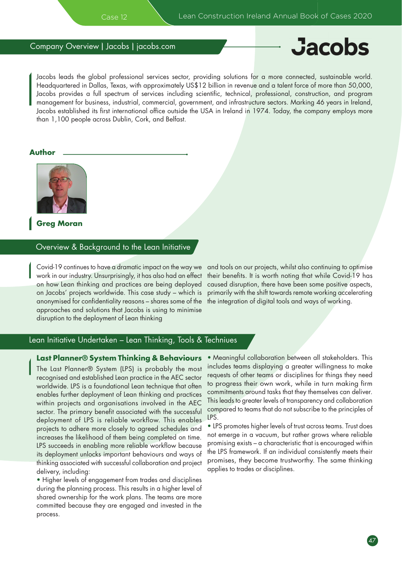# Company Overview | Jacobs | jacobs.com

# **Jacobs**

Jacobs leads the global professional services sector, providing solutions for a more connected, sustainable world. Headquartered in Dallas, Texas, with approximately US\$12 billion in revenue and a talent force of more than 50,000, Jacobs provides a full spectrum of services including scientific, technical, professional, construction, and program management for business, industrial, commercial, government, and infrastructure sectors. Marking 46 years in Ireland, Jacobs established its first international office outside the USA in Ireland in 1974. Today, the company employs more than 1,100 people across Dublin, Cork, and Belfast.

#### **Author**



**Greg Moran**

#### Overview & Background to the Lean Initiative

Covid-19 continues to have a dramatic impact on the way we work in our industry. Unsurprisingly, it has also had an effect on how Lean thinking and practices are being deployed on Jacobs' projects worldwide. This case study – which is anonymised for confidentiality reasons – shares some of the approaches and solutions that Jacobs is using to minimise disruption to the deployment of Lean thinking

and tools on our projects, whilst also continuing to optimise their benefits. It is worth noting that while Covid-19 has caused disruption, there have been some positive aspects, primarily with the shift towards remote working accelerating the integration of digital tools and ways of working.

## Lean Initiative Undertaken – Lean Thinking, Tools & Techniues

#### **Last Planner® System Thinking & Behaviours**

The Last Planner® System (LPS) is probably the most recognised and established Lean practice in the AEC sector worldwide. LPS is a foundational Lean technique that often enables further deployment of Lean thinking and practices within projects and organisations involved in the AEC sector. The primary benefit associated with the successful deployment of LPS is reliable workflow. This enables projects to adhere more closely to agreed schedules and increases the likelihood of them being completed on time. LPS succeeds in enabling more reliable workflow because its deployment unlocks important behaviours and ways of thinking associated with successful collaboration and project delivery, including:

• Higher levels of engagement from trades and disciplines during the planning process. This results in a higher level of shared ownership for the work plans. The teams are more committed because they are engaged and invested in the process.

• Meaningful collaboration between all stakeholders. This includes teams displaying a greater willingness to make requests of other teams or disciplines for things they need to progress their own work, while in turn making firm commitments around tasks that they themselves can deliver. This leads to greater levels of transparency and collaboration compared to teams that do not subscribe to the principles of LPS.

• LPS promotes higher levels of trust across teams. Trust does not emerge in a vacuum, but rather grows where reliable promising exists – a characteristic that is encouraged within the LPS framework. If an individual consistently meets their promises, they become trustworthy. The same thinking applies to trades or disciplines.

47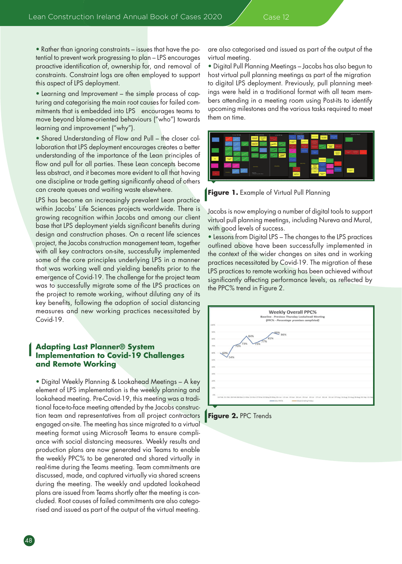• Rather than ignoring constraints – issues that have the potential to prevent work progressing to plan – LPS encourages proactive identification of, ownership for, and removal of constraints. Constraint logs are often employed to support this aspect of LPS deployment.

• Learning and Improvement – the simple process of capturing and categorising the main root causes for failed commitments that is embedded into LPS encourages teams to move beyond blame-oriented behaviours ("who") towards learning and improvement ("why").

• Shared Understanding of Flow and Pull – the closer collaboration that LPS deployment encourages creates a better understanding of the importance of the Lean principles of flow and pull for all parties. These Lean concepts become less abstract, and it becomes more evident to all that having one discipline or trade getting significantly ahead of others can create queues and waiting waste elsewhere.

LPS has become an increasingly prevalent Lean practice within Jacobs' Life Sciences projects worldwide. There is growing recognition within Jacobs and among our client base that LPS deployment yields significant benefits during design and construction phases. On a recent life sciences project, the Jacobs construction management team, together with all key contractors on-site, successfully implemented some of the core principles underlying LPS in a manner that was working well and yielding benefits prior to the emergence of Covid-19. The challenge for the project team was to successfully migrate some of the LPS practices on the project to remote working, without diluting any of its key benefits, following the adoption of social distancing measures and new working practices necessitated by Covid-19.

### **Adapting Last Planner® System Implementation to Covid-19 Challenges and Remote Working**

• Digital Weekly Planning & Lookahead Meetings – A key element of LPS implementation is the weekly planning and lookahead meeting. Pre-Covid-19, this meeting was a traditional face-to-face meeting attended by the Jacobs construction team and representatives from all project contractors engaged on-site. The meeting has since migrated to a virtual meeting format using Microsoft Teams to ensure compliance with social distancing measures. Weekly results and production plans are now generated via Teams to enable the weekly PPC% to be generated and shared virtually in real-time during the Teams meeting. Team commitments are discussed, made, and captured virtually via shared screens during the meeting. The weekly and updated lookahead plans are issued from Teams shortly after the meeting is concluded. Root causes of failed commitments are also categorised and issued as part of the output of the virtual meeting.

are also categorised and issued as part of the output of the virtual meeting.

• Digital Pull Planning Meetings – Jacobs has also begun to host virtual pull planning meetings as part of the migration to digital LPS deployment. Previously, pull planning meetings were held in a traditional format with all team members attending in a meeting room using Post-its to identify upcoming milestones and the various tasks required to meet them on time.



**Figure 1.** Example of Virtual Pull Planning

Jacobs is now employing a number of digital tools to support virtual pull planning meetings, including Nureva and Mural, with good levels of success.

• Lessons from Digital LPS – The changes to the LPS practices outlined above have been successfully implemented in the context of the wider changes on sites and in working practices necessitated by Covid-19. The migration of these LPS practices to remote working has been achieved without significantly affecting performance levels, as reflected by the PPC% trend in Figure 2.